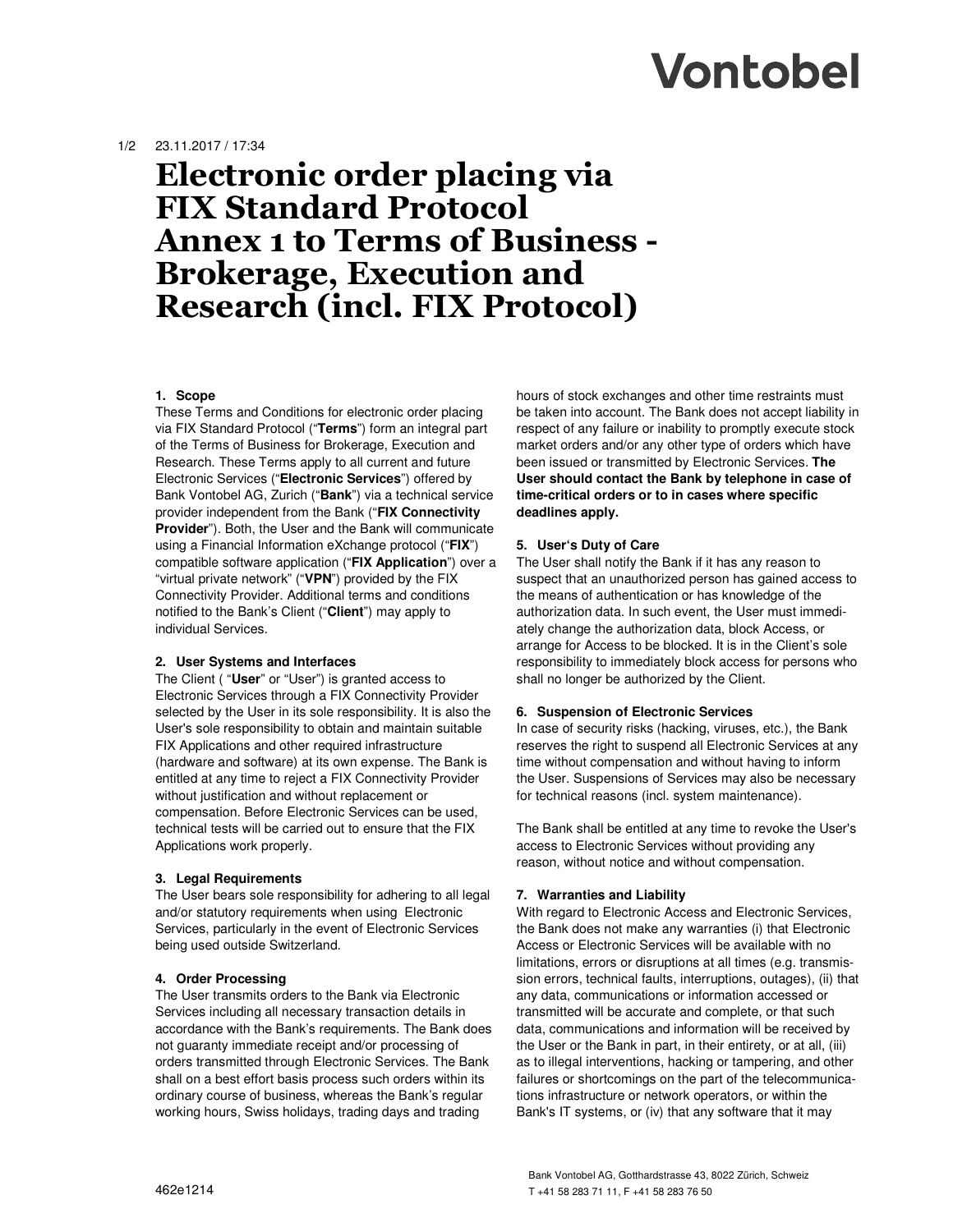# Vontobel

## 1/2 23.11.2017 / 17:34

# **Electronic order placing via FIX Standard Protocol Annex 1 to Terms of Business - Brokerage, Execution and Research (incl. FIX Protocol)**

### **1. Scope**

These Terms and Conditions for electronic order placing via FIX Standard Protocol ("**Terms**") form an integral part of the Terms of Business for Brokerage, Execution and Research. These Terms apply to all current and future Electronic Services ("**Electronic Services**") offered by Bank Vontobel AG, Zurich ("**Bank**") via a technical service provider independent from the Bank ("**FIX Connectivity Provider**"). Both, the User and the Bank will communicate using a Financial Information eXchange protocol ("**FIX**") compatible software application ("**FIX Application**") over a "virtual private network" ("**VPN**") provided by the FIX Connectivity Provider. Additional terms and conditions notified to the Bank's Client ("**Client**") may apply to individual Services.

#### **2. User Systems and Interfaces**

The Client ( "**User**" or "User") is granted access to Electronic Services through a FIX Connectivity Provider selected by the User in its sole responsibility. It is also the User's sole responsibility to obtain and maintain suitable FIX Applications and other required infrastructure (hardware and software) at its own expense. The Bank is entitled at any time to reject a FIX Connectivity Provider without justification and without replacement or compensation. Before Electronic Services can be used, technical tests will be carried out to ensure that the FIX Applications work properly.

### **3. Legal Requirements**

The User bears sole responsibility for adhering to all legal and/or statutory requirements when using Electronic Services, particularly in the event of Electronic Services being used outside Switzerland.

### **4. Order Processing**

The User transmits orders to the Bank via Electronic Services including all necessary transaction details in accordance with the Bank's requirements. The Bank does not guaranty immediate receipt and/or processing of orders transmitted through Electronic Services. The Bank shall on a best effort basis process such orders within its ordinary course of business, whereas the Bank's regular working hours, Swiss holidays, trading days and trading

hours of stock exchanges and other time restraints must be taken into account. The Bank does not accept liability in respect of any failure or inability to promptly execute stock market orders and/or any other type of orders which have been issued or transmitted by Electronic Services. **The User should contact the Bank by telephone in case of time-critical orders or to in cases where specific deadlines apply.** 

### **5. User's Duty of Care**

The User shall notify the Bank if it has any reason to suspect that an unauthorized person has gained access to the means of authentication or has knowledge of the authorization data. In such event, the User must immediately change the authorization data, block Access, or arrange for Access to be blocked. It is in the Client's sole responsibility to immediately block access for persons who shall no longer be authorized by the Client.

#### **6. Suspension of Electronic Services**

In case of security risks (hacking, viruses, etc.), the Bank reserves the right to suspend all Electronic Services at any time without compensation and without having to inform the User. Suspensions of Services may also be necessary for technical reasons (incl. system maintenance).

The Bank shall be entitled at any time to revoke the User's access to Electronic Services without providing any reason, without notice and without compensation.

### **7. Warranties and Liability**

With regard to Electronic Access and Electronic Services, the Bank does not make any warranties (i) that Electronic Access or Electronic Services will be available with no limitations, errors or disruptions at all times (e.g. transmission errors, technical faults, interruptions, outages), (ii) that any data, communications or information accessed or transmitted will be accurate and complete, or that such data, communications and information will be received by the User or the Bank in part, in their entirety, or at all, (iii) as to illegal interventions, hacking or tampering, and other failures or shortcomings on the part of the telecommunications infrastructure or network operators, or within the Bank's IT systems, or (iv) that any software that it may